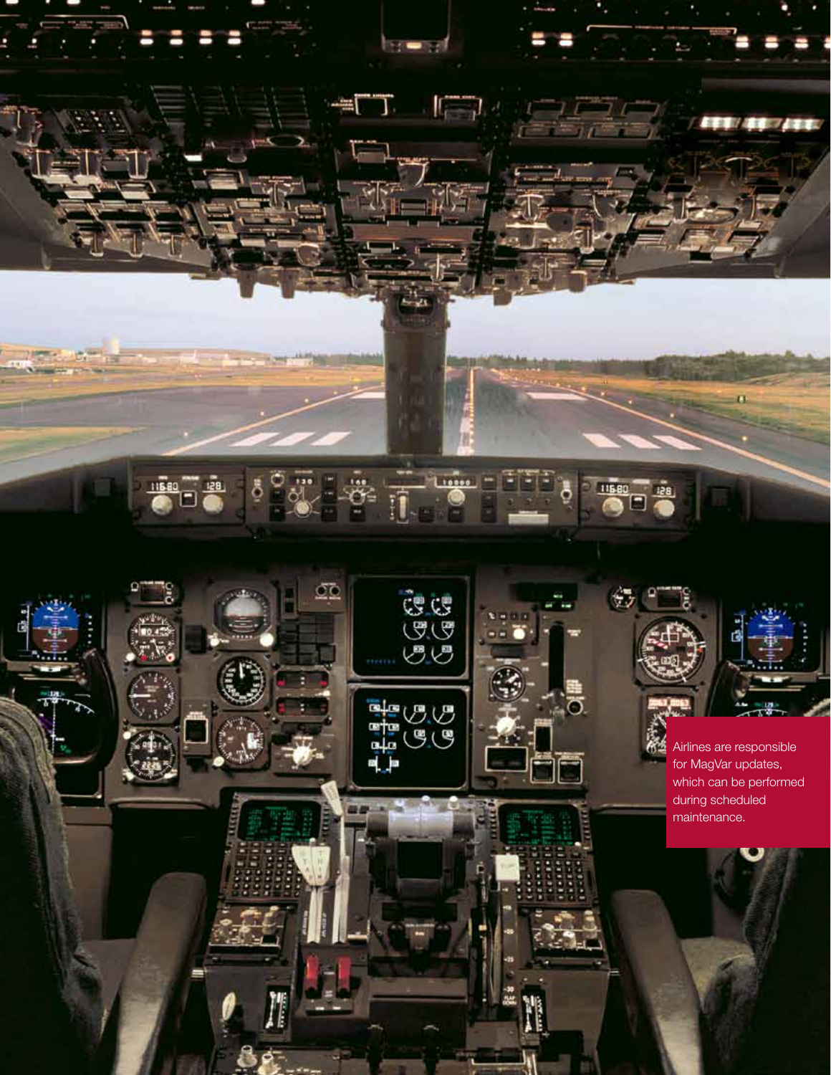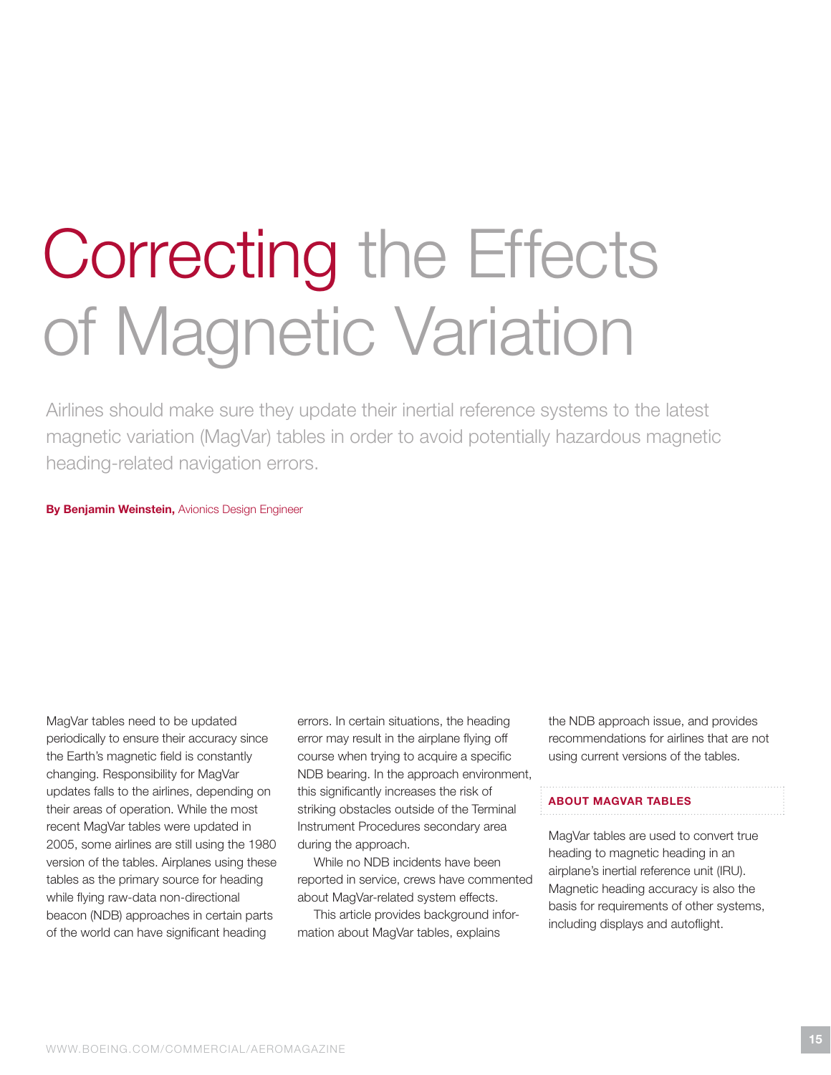# Correcting the Effects of Magnetic Variation

Airlines should make sure they update their inertial reference systems to the latest magnetic variation (MagVar) tables in order to avoid potentially hazardous magnetic heading-related navigation errors.

By Benjamin Weinstein, Avionics Design Engineer

MagVar tables need to be updated periodically to ensure their accuracy since the Earth's magnetic field is constantly changing. Responsibility for MagVar updates falls to the airlines, depending on their areas of operation. While the most recent MagVar tables were updated in 2005, some airlines are still using the 1980 version of the tables. Airplanes using these tables as the primary source for heading while flying raw-data non-directional beacon (NDB) approaches in certain parts of the world can have significant heading

errors. in certain situations, the heading error may result in the airplane flying off course when trying to acquire a specific NDB bearing. In the approach environment, this significantly increases the risk of striking obstacles outside of the Terminal instrument Procedures secondary area during the approach.

While no NDB incidents have been reported in service, crews have commented about MagVar-related system effects.

This article provides background information about MagVar tables, explains

the NDB approach issue, and provides recommendations for airlines that are not using current versions of the tables.

# About MAgVAr tAbles

MagVar tables are used to convert true heading to magnetic heading in an airplane's inertial reference unit (IRU). Magnetic heading accuracy is also the basis for requirements of other systems, including displays and autoflight.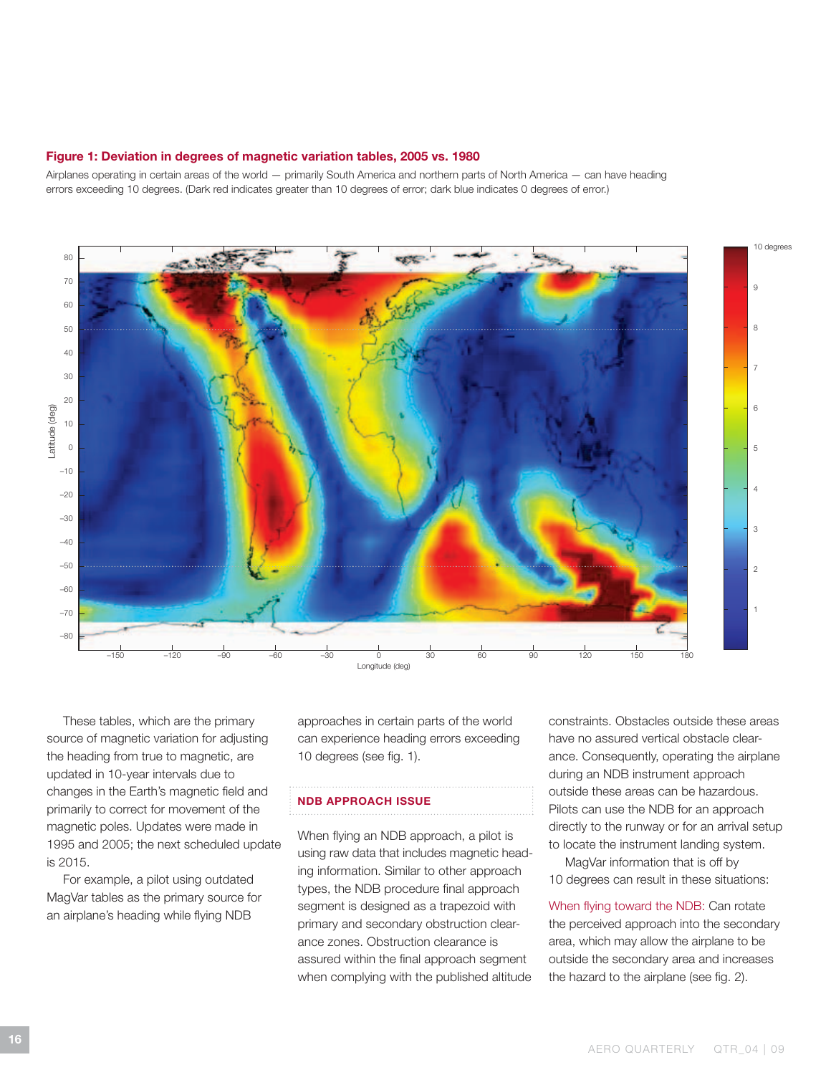## Figure 1: Deviation in degrees of magnetic variation tables, 2005 vs. 1980

Airplanes operating in certain areas of the world — primarily South America and northern parts of north America — can have heading errors exceeding 10 degrees. (Dark red indicates greater than 10 degrees of error; dark blue indicates 0 degrees of error.)



These tables, which are the primary source of magnetic variation for adjusting the heading from true to magnetic, are updated in 10-year intervals due to changes in the Earth's magnetic field and primarily to correct for movement of the magnetic poles. Updates were made in 1995 and 2005; the next scheduled update is 2015.

For example, a pilot using outdated MagVar tables as the primary source for an airplane's heading while flying NDB

approaches in certain parts of the world can experience heading errors exceeding 10 degrees (see fig. 1).

## **NDB APPROACH ISSUE**

When flying an NDB approach, a pilot is using raw data that includes magnetic heading information. Similar to other approach types, the NDB procedure final approach segment is designed as a trapezoid with primary and secondary obstruction clearance zones. obstruction clearance is assured within the final approach segment when complying with the published altitude

constraints. obstacles outside these areas have no assured vertical obstacle clearance. Consequently, operating the airplane during an NDB instrument approach outside these areas can be hazardous. Pilots can use the NDB for an approach directly to the runway or for an arrival setup to locate the instrument landing system.

MagVar information that is off by 10 degrees can result in these situations:

When flying toward the NDB: Can rotate the perceived approach into the secondary area, which may allow the airplane to be outside the secondary area and increases the hazard to the airplane (see fig. 2).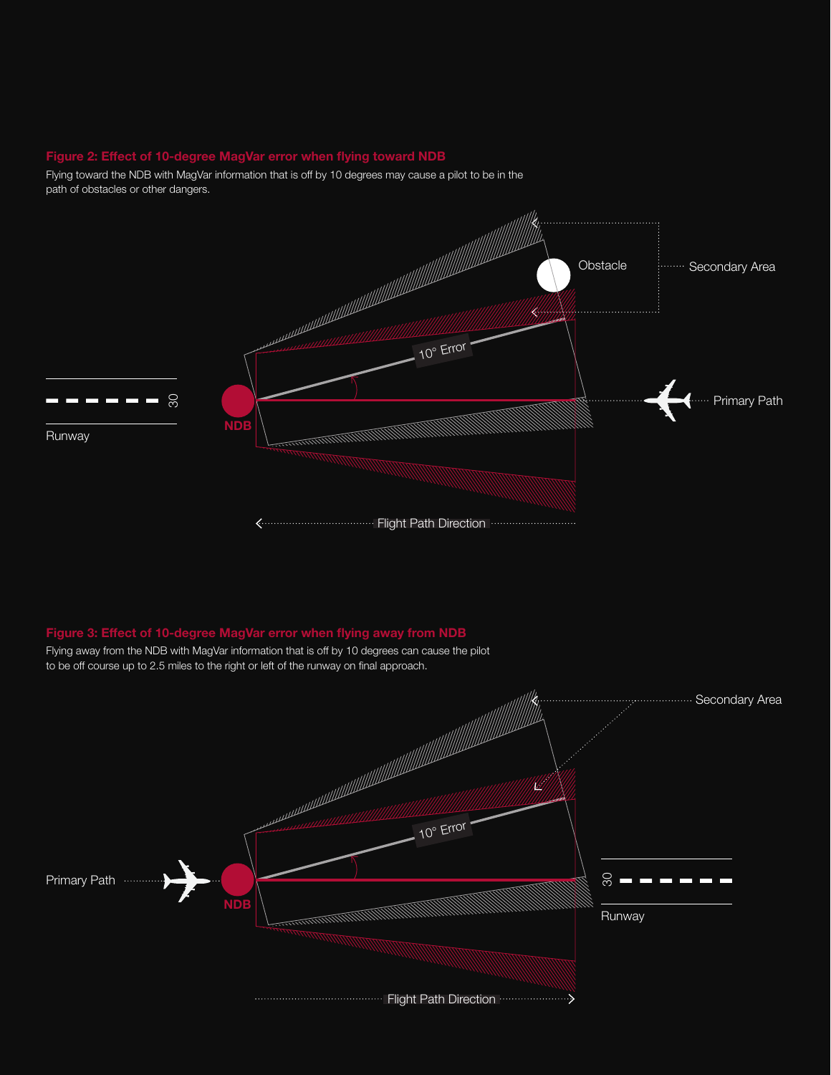# Figure 2: Effect of 10-degree MagVar error when flying toward NDB

Flying toward the NDB with MagVar information that is off by 10 degrees may cause a pilot to be in the path of obstacles or other dangers.



# Figure 3: Effect of 10-degree MagVar error when flying away from NDB

Flying away from the NDB with MagVar information that is off by 10 degrees can cause the pilot to be off course up to 2.5 miles to the right or left of the runway on final approach.

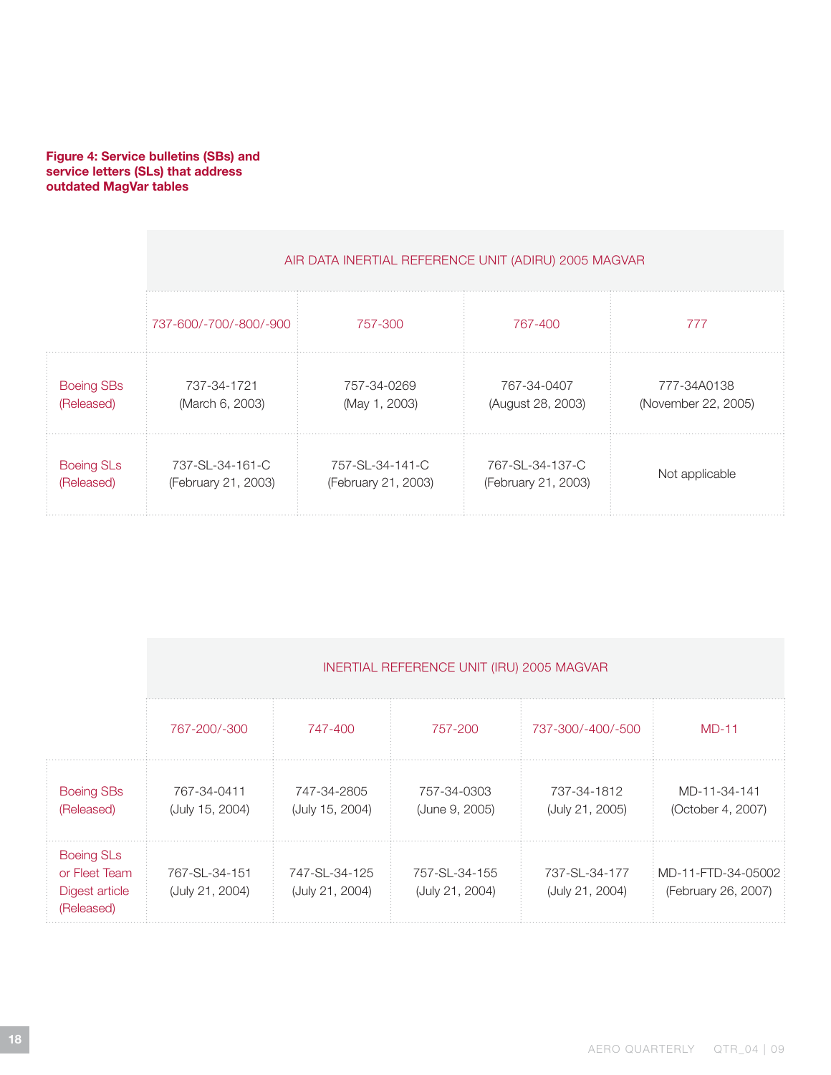# Figure 4: Service bulletins (SBs) and service letters (SLs) that address outdated MagVar tables

|                   | AIR DATA INERTIAL REFERENCE UNIT (ADIRU) 2005 MAGVAR |                     |                     |                     |  |  |  |
|-------------------|------------------------------------------------------|---------------------|---------------------|---------------------|--|--|--|
|                   | 737-600/-700/-800/-900                               | 757-300             | 767-400             | 777                 |  |  |  |
| <b>Boeing SBs</b> | 737-34-1721                                          | 757-34-0269         | 767-34-0407         | 777-34A0138         |  |  |  |
| (Released)        | (March 6, 2003)                                      | (May 1, 2003)       | (August 28, 2003)   | (November 22, 2005) |  |  |  |
| <b>Boeing SLs</b> | 737-SL-34-161-C                                      | 757-SL-34-141-C     | 767-SL-34-137-C     | Not applicable      |  |  |  |
| (Released)        | (February 21, 2003)                                  | (February 21, 2003) | (February 21, 2003) |                     |  |  |  |

|                                                                    | INERTIAL REFERENCE UNIT (IRU) 2005 MAGVAR |                                  |                                  |                                  |                                           |  |  |
|--------------------------------------------------------------------|-------------------------------------------|----------------------------------|----------------------------------|----------------------------------|-------------------------------------------|--|--|
|                                                                    | 767-200/-300                              | 747-400                          | 757-200                          | 737-300/-400/-500                | $MD-11$                                   |  |  |
| <b>Boeing SBs</b><br>(Released)                                    | 767-34-0411<br>(July 15, 2004)            | 747-34-2805<br>(July 15, 2004)   | 757-34-0303<br>(June 9, 2005)    | 737-34-1812<br>(July 21, 2005)   | MD-11-34-141<br>(October 4, 2007)         |  |  |
| <b>Boeing SLs</b><br>or Fleet Team<br>Digest article<br>(Released) | 767-SL-34-151<br>(July 21, 2004)          | 747-SL-34-125<br>(July 21, 2004) | 757-SL-34-155<br>(July 21, 2004) | 737-SL-34-177<br>(July 21, 2004) | MD-11-FTD-34-05002<br>(February 26, 2007) |  |  |